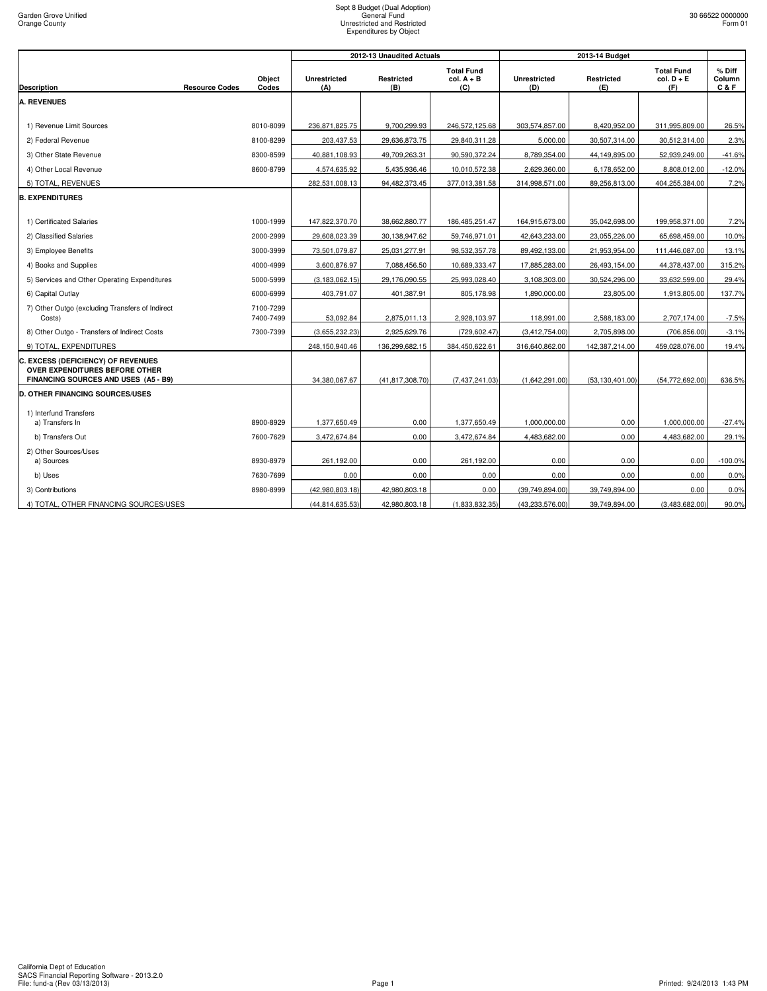| <b>Total Fund</b>                                                                                                                                                                                           |                                          |                         |
|-------------------------------------------------------------------------------------------------------------------------------------------------------------------------------------------------------------|------------------------------------------|-------------------------|
| Object<br><b>Unrestricted</b><br>Restricted<br>$col. A + B$<br><b>Unrestricted</b><br>Restricted<br><b>Description</b><br><b>Resource Codes</b><br>Codes<br>(B)<br>(C)<br>(E)<br>(A)<br>(D)                 | <b>Total Fund</b><br>$col. D + E$<br>(F) | % Diff<br>Column<br>C&F |
| <b>A. REVENUES</b>                                                                                                                                                                                          |                                          |                         |
|                                                                                                                                                                                                             |                                          |                         |
| 1) Revenue Limit Sources<br>8010-8099<br>236,871,825.75<br>9,700,299.93<br>246,572,125.68<br>303,574,857.00<br>8,420,952.00                                                                                 | 311,995,809.00                           | 26.5%                   |
| 203,437.53<br>29,636,873.75<br>29,840,311.28<br>2) Federal Revenue<br>8100-8299<br>5,000.00<br>30,507,314.00                                                                                                | 30,512,314.00                            | 2.3%                    |
| 8,789,354.00<br>3) Other State Revenue<br>8300-8599<br>40,881,108.93<br>49,709,263.31<br>90,590,372.24<br>44,149,895.00                                                                                     | 52,939,249.00                            | $-41.6%$                |
| 4) Other Local Revenue<br>8600-8799<br>4,574,635.92<br>5,435,936.46<br>10,010,572.38<br>2,629,360.00<br>6,178,652.00                                                                                        | 8,808,012.00                             | $-12.0%$                |
| 5) TOTAL, REVENUES<br>377,013,381.58<br>314,998,571.00<br>282,531,008.13<br>94,482,373.45<br>89,256,813.00                                                                                                  | 404,255,384.00                           | 7.2%                    |
| <b>B. EXPENDITURES</b>                                                                                                                                                                                      |                                          |                         |
| 1) Certificated Salaries<br>1000-1999<br>147,822,370.70<br>38,662,880.77<br>186,485,251.47<br>164,915,673.00<br>35,042,698.00                                                                               | 199,958,371.00                           | 7.2%                    |
| 2000-2999<br>29,608,023.39<br>30,138,947.62<br>59,746,971.01<br>42,643,233.00<br>23,055,226.00<br>2) Classified Salaries                                                                                    | 65,698,459.00                            | 10.0%                   |
| 73,501,079.87<br>25,031,277.91<br>98,532,357.78<br>89,492,133.00<br>21,953,954.00<br>3) Employee Benefits<br>3000-3999                                                                                      | 111,446,087.00                           | 13.1%                   |
| 4000-4999<br>3,600,876.97<br>7,088,456.50<br>10,689,333.47<br>17,885,283.00<br>26,493,154.00<br>4) Books and Supplies                                                                                       | 44,378,437.00                            | 315.2%                  |
| 5) Services and Other Operating Expenditures<br>5000-5999<br>29,176,090.55<br>25,993,028.40<br>3,108,303.00<br>30,524,296.00<br>(3, 183, 062.15)                                                            | 33,632,599.00                            | 29.4%                   |
| 6000-6999<br>403,791.07<br>805,178.98<br>1,890,000.00<br>6) Capital Outlay<br>401,387.91<br>23,805.00                                                                                                       | 1,913,805.00                             | 137.7%                  |
| 7) Other Outgo (excluding Transfers of Indirect<br>7100-7299<br>7400-7499<br>Costs)<br>53,092.84<br>2,875,011.13<br>2,928,103.97<br>118,991.00<br>2,588,183.00                                              | 2,707,174.00                             | $-7.5%$                 |
| 8) Other Outgo - Transfers of Indirect Costs<br>7300-7399<br>(3,655,232.23)<br>2,925,629.76<br>(729, 602.47)<br>(3,412,754.00)<br>2,705,898.00                                                              | (706, 856.00)                            | $-3.1%$                 |
| 9) TOTAL, EXPENDITURES<br>136,299,682.15<br>384,450,622.61<br>316,640,862.00<br>142,387,214.00<br>248,150,940.46                                                                                            | 459,028,076.00                           | 19.4%                   |
| C. EXCESS (DEFICIENCY) OF REVENUES<br>OVER EXPENDITURES BEFORE OTHER<br>FINANCING SOURCES AND USES (A5 - B9)<br>34.380.067.67<br>(41, 817, 308.70)<br>(7,437,241.03)<br>(1.642.291.00)<br>(53, 130, 401.00) | (54.772.692.00)                          | 636.5%                  |
| <b>D. OTHER FINANCING SOURCES/USES</b>                                                                                                                                                                      |                                          |                         |
| 1) Interfund Transfers<br>0.00<br>1,000,000.00<br>a) Transfers In<br>8900-8929<br>1,377,650.49<br>1,377,650.49<br>0.00                                                                                      | 1,000,000.00                             | $-27.4%$                |
| 7600-7629<br>3,472,674.84<br>0.00<br>3,472,674.84<br>4,483,682.00<br>0.00<br>b) Transfers Out                                                                                                               | 4,483,682.00                             | 29.1%                   |
| 2) Other Sources/Uses<br>0.00<br>a) Sources<br>8930-8979<br>261,192.00<br>0.00<br>261,192.00<br>0.00                                                                                                        | 0.00                                     | $-100.0%$               |
| b) Uses<br>7630-7699<br>0.00<br>0.00<br>0.00<br>0.00<br>0.00                                                                                                                                                | 0.00                                     | 0.0%                    |
| 3) Contributions<br>8980-8999<br>(42,980,803.18)<br>42,980,803.18<br>0.00<br>(39,749,894.00)<br>39,749,894.00                                                                                               | 0.00                                     | 0.0%                    |
| 4) TOTAL, OTHER FINANCING SOURCES/USES<br>(44, 814, 635.53)<br>42,980,803.18<br>(1,833,832.35)<br>(43,233,576.00)<br>39,749,894.00                                                                          | (3,483,682.00)                           | 90.0%                   |